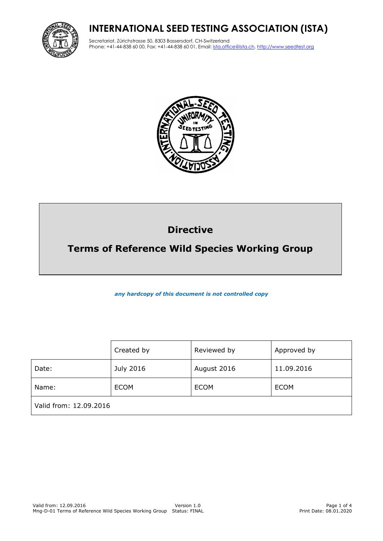## **INTERNATIONAL SEED TESTING ASSOCIATION (ISTA)**



Secretariat, Zürichstrasse 50, 8303 Bassersdorf, CH-Switzerland Phone: +41-44-838 60 00, Fax: +41-44-838 60 01, Email: ista.office@ista.ch, http://www.seedtest.org



# **Directive**

## **Terms of Reference Wild Species Working Group**

*any hardcopy of this document is not controlled copy*

|                        | Created by  | Reviewed by | Approved by |
|------------------------|-------------|-------------|-------------|
| Date:                  | July 2016   | August 2016 | 11.09.2016  |
| Name:                  | <b>ECOM</b> | <b>ECOM</b> | <b>ECOM</b> |
| Valid from: 12.09.2016 |             |             |             |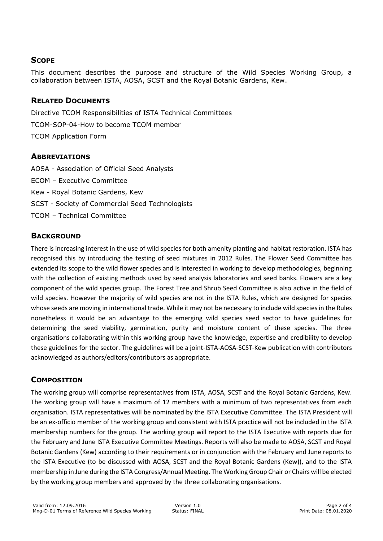#### **SCOPE**

This document describes the purpose and structure of the Wild Species Working Group, a collaboration between ISTA, AOSA, SCST and the Royal Botanic Gardens, Kew.

#### **RELATED DOCUMENTS**

Directive TCOM Responsibilities of ISTA Technical Committees TCOM-SOP-04-How to become TCOM member TCOM Application Form

#### **ABBREVIATIONS**

AOSA - Association of Official Seed Analysts ECOM – Executive Committee Kew - Royal Botanic Gardens, Kew SCST - Society of Commercial Seed Technologists TCOM – Technical Committee

#### **BACKGROUND**

There is increasing interest in the use of wild species for both amenity planting and habitat restoration. ISTA has recognised this by introducing the testing of seed mixtures in 2012 Rules. The Flower Seed Committee has extended its scope to the wild flower species and is interested in working to develop methodologies, beginning with the collection of existing methods used by seed analysis laboratories and seed banks. Flowers are a key component of the wild species group. The Forest Tree and Shrub Seed Committee is also active in the field of wild species. However the majority of wild species are not in the ISTA Rules, which are designed for species whose seeds are moving in international trade. While it may not be necessary to include wild species in the Rules nonetheless it would be an advantage to the emerging wild species seed sector to have guidelines for determining the seed viability, germination, purity and moisture content of these species. The three organisations collaborating within this working group have the knowledge, expertise and credibility to develop these guidelines for the sector. The guidelines will be a joint-ISTA-AOSA-SCST-Kew publication with contributors acknowledged as authors/editors/contributors as appropriate.

### **COMPOSITION**

The working group will comprise representatives from ISTA, AOSA, SCST and the Royal Botanic Gardens, Kew. The working group will have a maximum of 12 members with a minimum of two representatives from each organisation. ISTA representatives will be nominated by the ISTA Executive Committee. The ISTA President will be an ex-officio member of the working group and consistent with ISTA practice will not be included in the ISTA membership numbers for the group. The working group will report to the ISTA Executive with reports due for the February and June ISTA Executive Committee Meetings. Reports will also be made to AOSA, SCST and Royal Botanic Gardens (Kew) according to their requirements or in conjunction with the February and June reports to the ISTA Executive (to be discussed with AOSA, SCST and the Royal Botanic Gardens (Kew)), and to the ISTA membership in June during the ISTA Congress/Annual Meeting. The Working Group Chair or Chairs will be elected by the working group members and approved by the three collaborating organisations.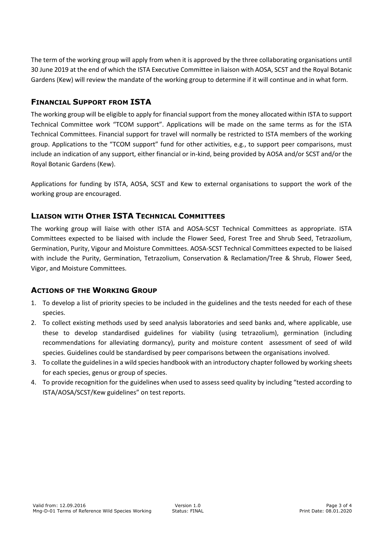The term of the working group will apply from when it is approved by the three collaborating organisations until 30 June 2019 at the end of which the ISTA Executive Committee in liaison with AOSA, SCST and the Royal Botanic Gardens (Kew) will review the mandate of the working group to determine if it will continue and in what form.

### **FINANCIAL SUPPORT FROM ISTA**

The working group will be eligible to apply for financial support from the money allocated within ISTA to support Technical Committee work "TCOM support". Applications will be made on the same terms as for the ISTA Technical Committees. Financial support for travel will normally be restricted to ISTA members of the working group. Applications to the "TCOM support" fund for other activities, e.g., to support peer comparisons, must include an indication of any support, either financial or in-kind, being provided by AOSA and/or SCST and/or the Royal Botanic Gardens (Kew).

Applications for funding by ISTA, AOSA, SCST and Kew to external organisations to support the work of the working group are encouraged.

## **LIAISON WITH OTHER ISTA TECHNICAL COMMITTEES**

The working group will liaise with other ISTA and AOSA-SCST Technical Committees as appropriate. ISTA Committees expected to be liaised with include the Flower Seed, Forest Tree and Shrub Seed, Tetrazolium, Germination, Purity, Vigour and Moisture Committees. AOSA-SCST Technical Committees expected to be liaised with include the Purity, Germination, Tetrazolium, Conservation & Reclamation/Tree & Shrub, Flower Seed, Vigor, and Moisture Committees.

### **ACTIONS OF THE WORKING GROUP**

- 1. To develop a list of priority species to be included in the guidelines and the tests needed for each of these species.
- 2. To collect existing methods used by seed analysis laboratories and seed banks and, where applicable, use these to develop standardised guidelines for viability (using tetrazolium), germination (including recommendations for alleviating dormancy), purity and moisture content assessment of seed of wild species. Guidelines could be standardised by peer comparisons between the organisations involved.
- 3. To collate the guidelines in a wild species handbook with an introductory chapter followed by working sheets for each species, genus or group of species.
- 4. To provide recognition for the guidelines when used to assess seed quality by including "tested according to ISTA/AOSA/SCST/Kew guidelines" on test reports.